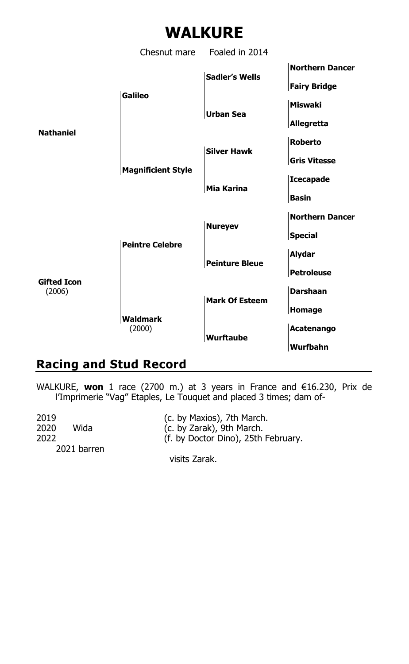# **WALKURE**

Chesnut mare Foaled in 2014 **Northern Dancer Sadler's Wells Fairy Bridge Galileo Miswaki Urban Sea Allegretta Nathaniel Roberto Silver Hawk Gris Vitesse Magnificient Style Icecapade Mia Karina Basin Northern Dancer Nureyev Special Peintre Celebre Alydar Peinture Bleue Petroleuse Gifted Icon** (2006) **Darshaan Mark Of Esteem Homage Waldmark** (2000) **Acatenango Wurftaube Wurfbahn**

## **Racing and Stud Record**

WALKURE, **won** 1 race (2700 m.) at 3 years in France and €16.230, Prix de l'Imprimerie "Vag" Etaples, Le Touquet and placed 3 times; dam of-

| 2019         | (c. by Maxios), 7th March.          |
|--------------|-------------------------------------|
| 2020<br>Wida | (c. by Zarak), 9th March.           |
| 2022         | (f. by Doctor Dino), 25th February. |
| 2021 barren  |                                     |
|              | visits Zarak                        |